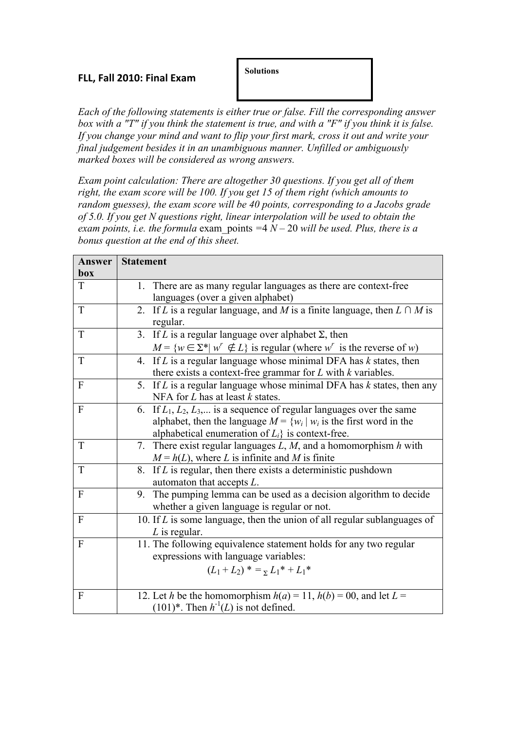## **FLL, Fall
2010: Final
Exam**

**Solutions**

*Each of the following statements is either true or false. Fill the corresponding answer box with a "T" if you think the statement is true, and with a "F" if you think it is false. If you change your mind and want to flip your first mark, cross it out and write your final judgement besides it in an unambiguous manner. Unfilled or ambiguously marked boxes will be considered as wrong answers.*

*Exam point calculation: There are altogether 30 questions. If you get all of them right, the exam score will be 100. If you get 15 of them right (which amounts to random guesses), the exam score will be 40 points, corresponding to a Jacobs grade of 5.0. If you get N questions right, linear interpolation will be used to obtain the exam points, i.e. the formula* exam\_points *=*4 *N –* 20 *will be used. Plus, there is a bonus question at the end of this sheet.*

| Answer       | <b>Statement</b>                                                                             |
|--------------|----------------------------------------------------------------------------------------------|
| box          |                                                                                              |
| T            | 1. There are as many regular languages as there are context-free                             |
|              | languages (over a given alphabet)                                                            |
| T            | If L is a regular language, and M is a finite language, then $L \cap M$ is<br>2.<br>regular. |
| T            | 3. If L is a regular language over alphabet $\Sigma$ , then                                  |
|              | $M = \{w \in \Sigma^*   w' \notin L\}$ is regular (where w' is the reverse of w)             |
| T            | 4. If $L$ is a regular language whose minimal DFA has $k$ states, then                       |
|              | there exists a context-free grammar for $L$ with $k$ variables.                              |
| $\mathbf{F}$ | 5 <sub>1</sub><br>If $L$ is a regular language whose minimal DFA has $k$ states, then any    |
|              | NFA for $L$ has at least $k$ states.                                                         |
| $\mathbf{F}$ | 6. If $L_1, L_2, L_3, \ldots$ is a sequence of regular languages over the same               |
|              | alphabet, then the language $M = \{w_i   w_i$ is the first word in the                       |
|              | alphabetical enumeration of $L_i$ is context-free.                                           |
| T            | 7. There exist regular languages $L, M$ , and a homomorphism $h$ with                        |
|              | $M = h(L)$ , where L is infinite and M is finite                                             |
| T            | If $L$ is regular, then there exists a deterministic pushdown<br>8.                          |
|              | automaton that accepts $L$ .                                                                 |
| $\mathbf{F}$ | 9. The pumping lemma can be used as a decision algorithm to decide                           |
|              | whether a given language is regular or not.                                                  |
| $\mathbf{F}$ | 10. If $L$ is some language, then the union of all regular sublanguages of                   |
|              | $L$ is regular.                                                                              |
| $\mathbf{F}$ | 11. The following equivalence statement holds for any two regular                            |
|              | expressions with language variables:                                                         |
|              | $(L_1 + L_2)^* = {}_{\Sigma} L_1^* + L_1^*$                                                  |
|              |                                                                                              |
| $\mathbf{F}$ | 12. Let h be the homomorphism $h(a) = 11$ , $h(b) = 00$ , and let $L =$                      |
|              | $(101)^*$ . Then $h^{-1}(L)$ is not defined.                                                 |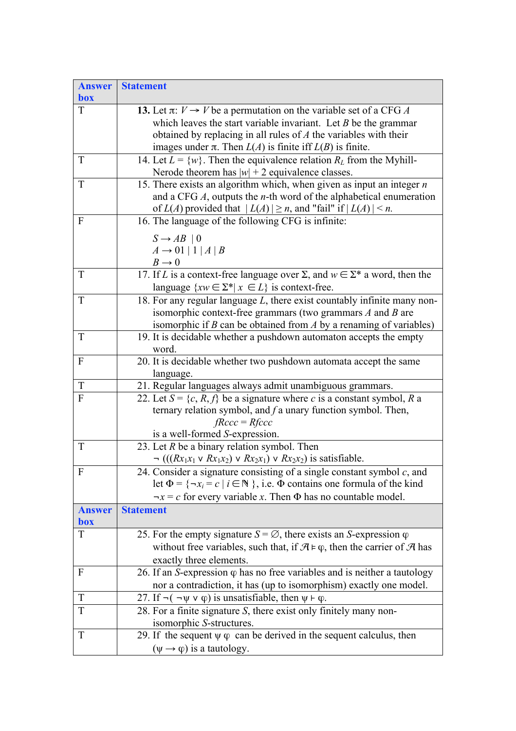| <b>Statement</b>                                                                                                                                                   |
|--------------------------------------------------------------------------------------------------------------------------------------------------------------------|
|                                                                                                                                                                    |
| 13. Let $\pi: V \to V$ be a permutation on the variable set of a CFG A                                                                                             |
| which leaves the start variable invariant. Let $B$ be the grammar                                                                                                  |
| obtained by replacing in all rules of $A$ the variables with their                                                                                                 |
| images under $\pi$ . Then $L(A)$ is finite iff $L(B)$ is finite.                                                                                                   |
| 14. Let $L = \{w\}$ . Then the equivalence relation $R_L$ from the Myhill-<br>Nerode theorem has $ w  + 2$ equivalence classes.                                    |
| 15. There exists an algorithm which, when given as input an integer $n$                                                                                            |
| and a CFG $A$ , outputs the <i>n</i> -th word of the alphabetical enumeration                                                                                      |
| of $L(A)$ provided that $ L(A)  \ge n$ , and "fail" if $ L(A)  \le n$ .                                                                                            |
| 16. The language of the following CFG is infinite:                                                                                                                 |
| $S \rightarrow AB \mid 0$                                                                                                                                          |
| $A \rightarrow 01   1   A   B$                                                                                                                                     |
|                                                                                                                                                                    |
| B → 0<br>17. If L is a context-free language over $\Sigma$ , and $w \in \Sigma^*$ a word, then the                                                                 |
| language $\{xw \in \Sigma^*   x \in L\}$ is context-free.                                                                                                          |
| 18. For any regular language $L$ , there exist countably infinite many non-                                                                                        |
| isomorphic context-free grammars (two grammars $A$ and $B$ are                                                                                                     |
| isomorphic if $B$ can be obtained from $A$ by a renaming of variables)                                                                                             |
| 19. It is decidable whether a pushdown automaton accepts the empty<br>word.                                                                                        |
| 20. It is decidable whether two pushdown automata accept the same                                                                                                  |
| language.                                                                                                                                                          |
| 21. Regular languages always admit unambiguous grammars.                                                                                                           |
| 22. Let $S = \{c, R, f\}$ be a signature where c is a constant symbol, R a                                                                                         |
| ternary relation symbol, and $f$ a unary function symbol. Then,                                                                                                    |
| $fRccc = Rfcc$                                                                                                                                                     |
| is a well-formed S-expression.                                                                                                                                     |
| 23. Let $R$ be a binary relation symbol. Then                                                                                                                      |
| $\lnot$ (((Rx <sub>1</sub> x <sub>1</sub> v Rx <sub>1</sub> x <sub>2</sub> ) v Rx <sub>2</sub> x <sub>1</sub> ) v Rx <sub>2</sub> x <sub>2</sub> ) is satisfiable. |
| 24. Consider a signature consisting of a single constant symbol $c$ , and                                                                                          |
| let $\Phi = \{\neg x_i = c \mid i \in \mathbb{N}\}\$ , i.e. $\Phi$ contains one formula of the kind                                                                |
| $\neg x = c$ for every variable x. Then $\Phi$ has no countable model.                                                                                             |
| <b>Statement</b>                                                                                                                                                   |
| 25. For the empty signature $S = \emptyset$ , there exists an S-expression $\varphi$                                                                               |
| without free variables, such that, if $\mathcal{A} \models \varphi$ , then the carrier of $\mathcal{A}$ has                                                        |
| exactly three elements.                                                                                                                                            |
| 26. If an S-expression $\varphi$ has no free variables and is neither a tautology                                                                                  |
| nor a contradiction, it has (up to isomorphism) exactly one model.                                                                                                 |
| 27. If $\neg(\neg \psi \lor \varphi)$ is unsatisfiable, then $\psi \vdash \varphi$ .                                                                               |
| 28. For a finite signature S, there exist only finitely many non-                                                                                                  |
| isomorphic S-structures.                                                                                                                                           |
| 29. If the sequent $\psi \varphi$ can be derived in the sequent calculus, then                                                                                     |
| $(\psi \rightarrow \varphi)$ is a tautology.                                                                                                                       |
|                                                                                                                                                                    |